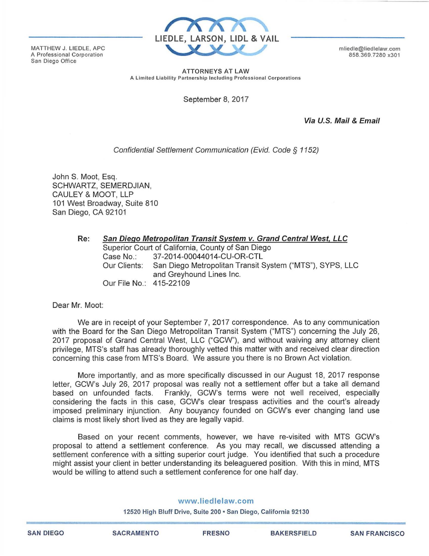MATTHEW J. LIEDLE, APC A Professional Corporation San Diego Office



mliedle@liedlelaw.com 858 .369.7280 x301

ATTORNEYS AT LAW A Limited Liability Partnership Including Professional Corporations

September 8, 2017

Via U.S. Mail & Email

## Confidential Settlement Communication (Evid. Code *§* 1152)

John S. Moot, Esq. SCHWARTZ, SEMERDJIAN, CAULEY & MOOT, LLP 101 West Broadway, Suite 810 San Diego, CA 92101

| Re: | San Diego Metropolitan Transit System v. Grand Central West, LLC |                                                                                      |
|-----|------------------------------------------------------------------|--------------------------------------------------------------------------------------|
|     | Superior Court of California, County of San Diego                |                                                                                      |
|     | Case No.∶                                                        | 37-2014-00044014-CU-OR-CTL                                                           |
|     | Our Clients:                                                     | San Diego Metropolitan Transit System ("MTS"), SYPS, LLC<br>and Greyhound Lines Inc. |
|     | Our File No.: 415-22109                                          |                                                                                      |

## Dear Mr. Moot:

We are in receipt of your September 7, 2017 correspondence. As to any communication with the Board for the San Diego Metropolitan Transit System ("MTS") concerning the July 26, 2017 proposal of Grand Central West, LLC ("GCW"), and without waiving any attorney client privilege, MTS's staff has already thoroughly vetted this matter with and received clear direction concerning this case from MTS's Board. We assure you there is no Brown Act violation.

More importantly, and as more specifically discussed in our August 18, 2017 response letter, GCW's July 26, 2017 proposal was really not a settlement offer but a take all demand based on unfounded facts. Frankly, GCW's terms were not well received, especially considering the facts in this case, GCW's clear trespass activities and the court's already imposed preliminary injunction. Any bouyancy founded on GCW's ever changing land use claims is most likely short lived as they are legally vapid.

Based on your recent comments, however, we have re-visited with MTS GCW's proposal to attend a settlement conference. As you may recall, we discussed attending a settlement conference with a sitting superior court judge. You identified that such a procedure might assist your client in better understanding its beleaguered position. With this in mind, MTS would be willing to attend such a settlement conference for one half day.

## www.liedlelaw.com

12520 High Bluff Drive, Suite 200 • San Diego, California 92130